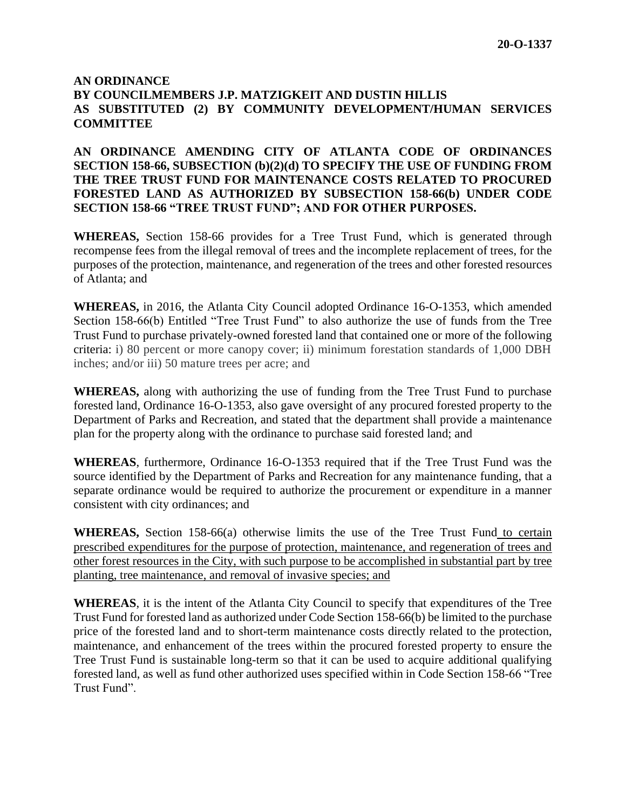## **AN ORDINANCE BY COUNCILMEMBERS J.P. MATZIGKEIT AND DUSTIN HILLIS AS SUBSTITUTED (2) BY COMMUNITY DEVELOPMENT/HUMAN SERVICES COMMITTEE**

## **AN ORDINANCE AMENDING CITY OF ATLANTA CODE OF ORDINANCES SECTION 158-66, SUBSECTION (b)(2)(d) TO SPECIFY THE USE OF FUNDING FROM THE TREE TRUST FUND FOR MAINTENANCE COSTS RELATED TO PROCURED FORESTED LAND AS AUTHORIZED BY SUBSECTION 158-66(b) UNDER CODE SECTION 158-66 "TREE TRUST FUND"; AND FOR OTHER PURPOSES.**

**WHEREAS,** Section 158-66 provides for a Tree Trust Fund, which is generated through recompense fees from the illegal removal of trees and the incomplete replacement of trees, for the purposes of the protection, maintenance, and regeneration of the trees and other forested resources of Atlanta; and

**WHEREAS,** in 2016, the Atlanta City Council adopted Ordinance 16-O-1353, which amended Section 158-66(b) Entitled "Tree Trust Fund" to also authorize the use of funds from the Tree Trust Fund to purchase privately-owned forested land that contained one or more of the following criteria: i) 80 percent or more canopy cover; ii) minimum forestation standards of 1,000 DBH inches; and/or iii) 50 mature trees per acre; and

**WHEREAS,** along with authorizing the use of funding from the Tree Trust Fund to purchase forested land, Ordinance 16-O-1353, also gave oversight of any procured forested property to the Department of Parks and Recreation, and stated that the department shall provide a maintenance plan for the property along with the ordinance to purchase said forested land; and

**WHEREAS**, furthermore, Ordinance 16-O-1353 required that if the Tree Trust Fund was the source identified by the Department of Parks and Recreation for any maintenance funding, that a separate ordinance would be required to authorize the procurement or expenditure in a manner consistent with city ordinances; and

**WHEREAS,** Section 158-66(a) otherwise limits the use of the Tree Trust Fund to certain prescribed expenditures for the purpose of protection, maintenance, and regeneration of trees and other forest resources in the City, with such purpose to be accomplished in substantial part by tree planting, tree maintenance, and removal of invasive species; and

**WHEREAS**, it is the intent of the Atlanta City Council to specify that expenditures of the Tree Trust Fund for forested land as authorized under Code Section 158-66(b) be limited to the purchase price of the forested land and to short-term maintenance costs directly related to the protection, maintenance, and enhancement of the trees within the procured forested property to ensure the Tree Trust Fund is sustainable long-term so that it can be used to acquire additional qualifying forested land, as well as fund other authorized uses specified within in Code Section 158-66 "Tree Trust Fund".